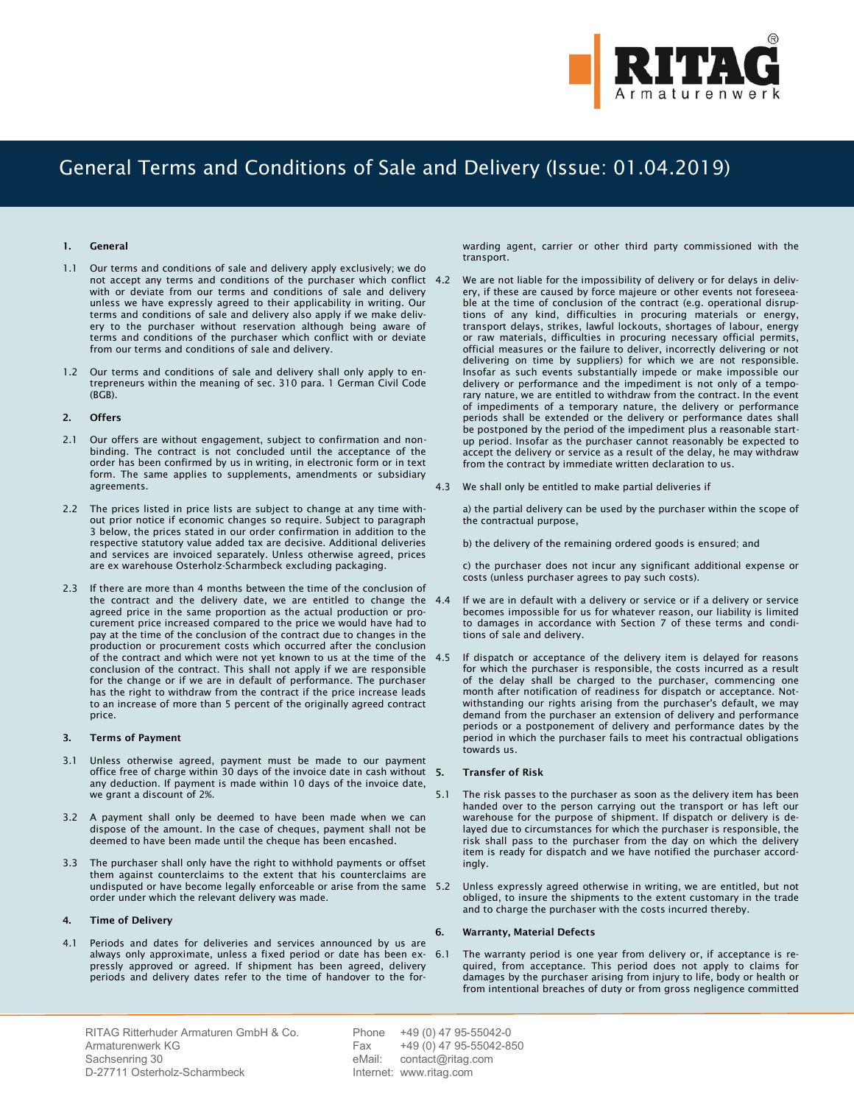

# General Terms and Conditions of Sale and Delivery (Issue: 01.04.2019)

## **1. General**

- 1.1 Our terms and conditions of sale and delivery apply exclusively; we do not accept any terms and conditions of the purchaser which conflict with or deviate from our terms and conditions of sale and delivery unless we have expressly agreed to their applicability in writing. Our terms and conditions of sale and delivery also apply if we make delivery to the purchaser without reservation although being aware of terms and conditions of the purchaser which conflict with or deviate from our terms and conditions of sale and delivery.
- 1.2 Our terms and conditions of sale and delivery shall only apply to entrepreneurs within the meaning of sec. 310 para. 1 German Civil Code (BGB).

#### **2. Offers**

- 2.1 Our offers are without engagement, subject to confirmation and nonbinding. The contract is not concluded until the acceptance of the order has been confirmed by us in writing, in electronic form or in text form. The same applies to supplements, amendments or subsidiary agreements.
- 2.2 The prices listed in price lists are subject to change at any time without prior notice if economic changes so require. Subject to paragraph 3 below, the prices stated in our order confirmation in addition to the respective statutory value added tax are decisive. Additional deliveries and services are invoiced separately. Unless otherwise agreed, prices are ex warehouse Osterholz-Scharmbeck excluding packaging.
- 2.3 If there are more than 4 months between the time of the conclusion of the contract and the delivery date, we are entitled to change the 4.4 agreed price in the same proportion as the actual production or procurement price increased compared to the price we would have had to pay at the time of the conclusion of the contract due to changes in the production or procurement costs which occurred after the conclusion of the contract and which were not yet known to us at the time of the conclusion of the contract. This shall not apply if we are responsible for the change or if we are in default of performance. The purchaser has the right to withdraw from the contract if the price increase leads to an increase of more than 5 percent of the originally agreed contract price.

### **3. Terms of Payment**

- 3.1 Unless otherwise agreed, payment must be made to our payment office free of charge within 30 days of the invoice date in cash without 5. any deduction. If payment is made within 10 days of the invoice date, we grant a discount of 2%.
- 3.2 A payment shall only be deemed to have been made when we can dispose of the amount. In the case of cheques, payment shall not be deemed to have been made until the cheque has been encashed.
- 3.3 The purchaser shall only have the right to withhold payments or offset them against counterclaims to the extent that his counterclaims are undisputed or have become legally enforceable or arise from the same 5.2 order under which the relevant delivery was made.

# **4. Time of Delivery**

4.1 Periods and dates for deliveries and services announced by us are always only approximate, unless a fixed period or date has been ex- 6.1 pressly approved or agreed. If shipment has been agreed, delivery periods and delivery dates refer to the time of handover to the forwarding agent, carrier or other third party commissioned with the transport.

- We are not liable for the impossibility of delivery or for delays in delivery, if these are caused by force majeure or other events not foreseeable at the time of conclusion of the contract (e.g. operational disruptions of any kind, difficulties in procuring materials or energy, transport delays, strikes, lawful lockouts, shortages of labour, energy or raw materials, difficulties in procuring necessary official permits, official measures or the failure to deliver, incorrectly delivering or not delivering on time by suppliers) for which we are not responsible. Insofar as such events substantially impede or make impossible our delivery or performance and the impediment is not only of a temporary nature, we are entitled to withdraw from the contract. In the event of impediments of a temporary nature, the delivery or performance periods shall be extended or the delivery or performance dates shall be postponed by the period of the impediment plus a reasonable startup period. Insofar as the purchaser cannot reasonably be expected to accept the delivery or service as a result of the delay, he may withdraw from the contract by immediate written declaration to us.
- 4.3 We shall only be entitled to make partial deliveries if

a) the partial delivery can be used by the purchaser within the scope of the contractual purpose,

b) the delivery of the remaining ordered goods is ensured; and

c) the purchaser does not incur any significant additional expense or costs (unless purchaser agrees to pay such costs).

- If we are in default with a delivery or service or if a delivery or service becomes impossible for us for whatever reason, our liability is limited to damages in accordance with Section 7 of these terms and conditions of sale and delivery.
- If dispatch or acceptance of the delivery item is delayed for reasons for which the purchaser is responsible, the costs incurred as a result of the delay shall be charged to the purchaser, commencing one month after notification of readiness for dispatch or acceptance. Notwithstanding our rights arising from the purchaser's default, we may demand from the purchaser an extension of delivery and performance periods or a postponement of delivery and performance dates by the period in which the purchaser fails to meet his contractual obligations towards us.

## **5. Transfer of Risk**

- 5.1 The risk passes to the purchaser as soon as the delivery item has been handed over to the person carrying out the transport or has left our warehouse for the purpose of shipment. If dispatch or delivery is delayed due to circumstances for which the purchaser is responsible, the risk shall pass to the purchaser from the day on which the delivery item is ready for dispatch and we have notified the purchaser accordingly.
- Unless expressly agreed otherwise in writing, we are entitled, but not obliged, to insure the shipments to the extent customary in the trade and to charge the purchaser with the costs incurred thereby.

# **6. Warranty, Material Defects**

The warranty period is one year from delivery or, if acceptance is required, from acceptance. This period does not apply to claims for damages by the purchaser arising from injury to life, body or health or from intentional breaches of duty or from gross negligence committed

RITAG Ritterhuder Armaturen GmbH & Co. Armaturenwerk KG Sachsenring 30 D-27711 Osterholz-Scharmbeck

Phone +49 (0) 47 95-55042-0 Fax +49 (0) 47 95-55042-850 eMail: contact@ritag.com Internet: www.ritag.com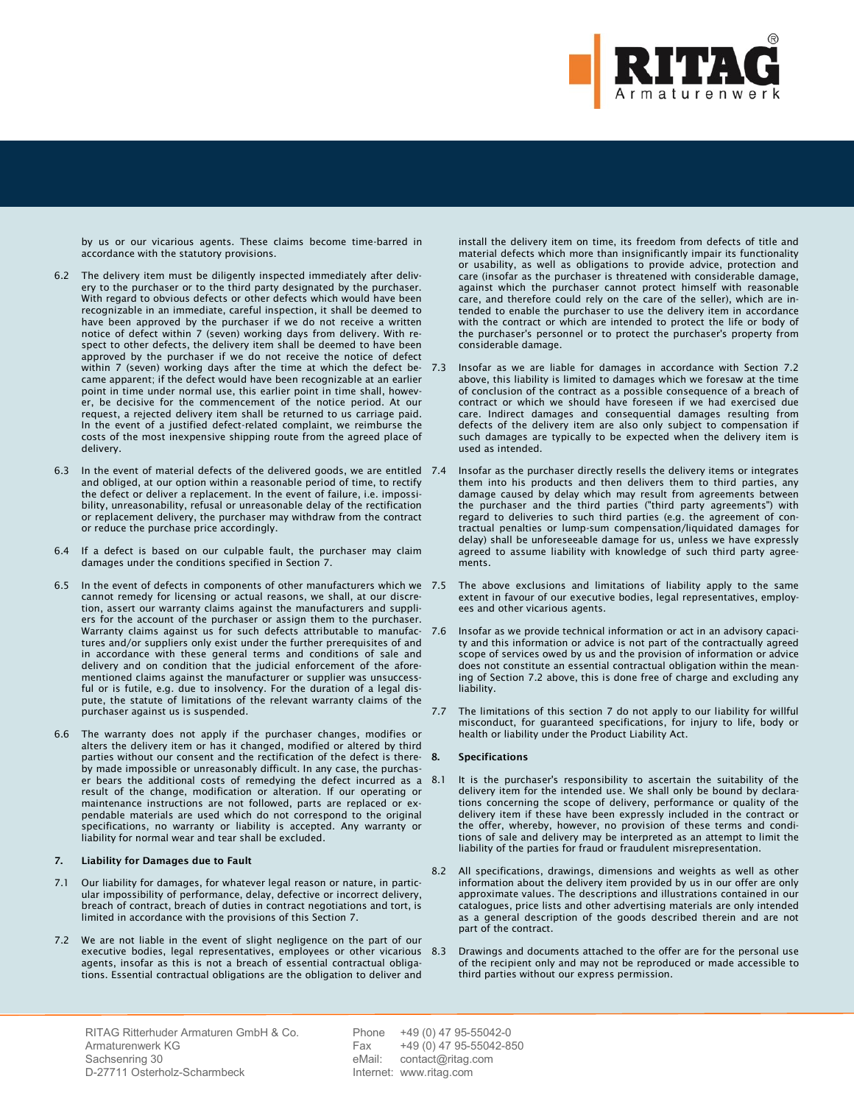

by us or our vicarious agents. These claims become time-barred in accordance with the statutory provisions.

- 6.2 The delivery item must be diligently inspected immediately after delivery to the purchaser or to the third party designated by the purchaser. With regard to obvious defects or other defects which would have been recognizable in an immediate, careful inspection, it shall be deemed to have been approved by the purchaser if we do not receive a written notice of defect within 7 (seven) working days from delivery. With respect to other defects, the delivery item shall be deemed to have been approved by the purchaser if we do not receive the notice of defect within 7 (seven) working days after the time at which the defect became apparent; if the defect would have been recognizable at an earlier point in time under normal use, this earlier point in time shall, however, be decisive for the commencement of the notice period. At our request, a rejected delivery item shall be returned to us carriage paid. In the event of a justified defect-related complaint, we reimburse the costs of the most inexpensive shipping route from the agreed place of delivery.
- 6.3 In the event of material defects of the delivered goods, we are entitled and obliged, at our option within a reasonable period of time, to rectify the defect or deliver a replacement. In the event of failure, i.e. impossibility, unreasonability, refusal or unreasonable delay of the rectification or replacement delivery, the purchaser may withdraw from the contract or reduce the purchase price accordingly.
- 6.4 If a defect is based on our culpable fault, the purchaser may claim damages under the conditions specified in Section 7.
- 6.5 In the event of defects in components of other manufacturers which we cannot remedy for licensing or actual reasons, we shall, at our discretion, assert our warranty claims against the manufacturers and suppliers for the account of the purchaser or assign them to the purchaser. Warranty claims against us for such defects attributable to manufactures and/or suppliers only exist under the further prerequisites of and in accordance with these general terms and conditions of sale and delivery and on condition that the judicial enforcement of the aforementioned claims against the manufacturer or supplier was unsuccessful or is futile, e.g. due to insolvency. For the duration of a legal dispute, the statute of limitations of the relevant warranty claims of the purchaser against us is suspended.
- 6.6 The warranty does not apply if the purchaser changes, modifies or alters the delivery item or has it changed, modified or altered by third parties without our consent and the rectification of the defect is thereby made impossible or unreasonably difficult. In any case, the purchaser bears the additional costs of remedying the defect incurred as a result of the change, modification or alteration. If our operating or maintenance instructions are not followed, parts are replaced or expendable materials are used which do not correspond to the original specifications, no warranty or liability is accepted. Any warranty or liability for normal wear and tear shall be excluded.

## **7. Liability for Damages due to Fault**

- 7.1 Our liability for damages, for whatever legal reason or nature, in particular impossibility of performance, delay, defective or incorrect delivery, breach of contract, breach of duties in contract negotiations and tort, is limited in accordance with the provisions of this Section 7.
- 7.2 We are not liable in the event of slight negligence on the part of our executive bodies, legal representatives, employees or other vicarious agents, insofar as this is not a breach of essential contractual obligations. Essential contractual obligations are the obligation to deliver and

install the delivery item on time, its freedom from defects of title and material defects which more than insignificantly impair its functionality or usability, as well as obligations to provide advice, protection and care (insofar as the purchaser is threatened with considerable damage, against which the purchaser cannot protect himself with reasonable care, and therefore could rely on the care of the seller), which are intended to enable the purchaser to use the delivery item in accordance with the contract or which are intended to protect the life or body of the purchaser's personnel or to protect the purchaser's property from considerable damage.

- Insofar as we are liable for damages in accordance with Section 7.2 above, this liability is limited to damages which we foresaw at the time of conclusion of the contract as a possible consequence of a breach of contract or which we should have foreseen if we had exercised due care. Indirect damages and consequential damages resulting from defects of the delivery item are also only subject to compensation if such damages are typically to be expected when the delivery item is used as intended.
- Insofar as the purchaser directly resells the delivery items or integrates them into his products and then delivers them to third parties, any damage caused by delay which may result from agreements between the purchaser and the third parties ("third party agreements") with regard to deliveries to such third parties (e.g. the agreement of contractual penalties or lump-sum compensation/liquidated damages for delay) shall be unforeseeable damage for us, unless we have expressly agreed to assume liability with knowledge of such third party agreements.
- The above exclusions and limitations of liability apply to the same extent in favour of our executive bodies, legal representatives, employees and other vicarious agents.
- 7.6 Insofar as we provide technical information or act in an advisory capacity and this information or advice is not part of the contractually agreed scope of services owed by us and the provision of information or advice does not constitute an essential contractual obligation within the meaning of Section 7.2 above, this is done free of charge and excluding any liability.
- 7.7 The limitations of this section 7 do not apply to our liability for willful misconduct, for guaranteed specifications, for injury to life, body or health or liability under the Product Liability Act.

### **8. Specifications**

- It is the purchaser's responsibility to ascertain the suitability of the delivery item for the intended use. We shall only be bound by declarations concerning the scope of delivery, performance or quality of the delivery item if these have been expressly included in the contract or the offer, whereby, however, no provision of these terms and conditions of sale and delivery may be interpreted as an attempt to limit the liability of the parties for fraud or fraudulent misrepresentation.
- All specifications, drawings, dimensions and weights as well as other information about the delivery item provided by us in our offer are only approximate values. The descriptions and illustrations contained in our catalogues, price lists and other advertising materials are only intended as a general description of the goods described therein and are not part of the contract.
- 8.3 Drawings and documents attached to the offer are for the personal use of the recipient only and may not be reproduced or made accessible to third parties without our express permission.

RITAG Ritterhuder Armaturen GmbH & Co. Armaturenwerk KG Sachsenring 30 D-27711 Osterholz-Scharmbeck

Phone +49 (0) 47 95-55042-0 Fax +49 (0) 47 95-55042-850 eMail: contact@ritag.com Internet: www.ritag.com